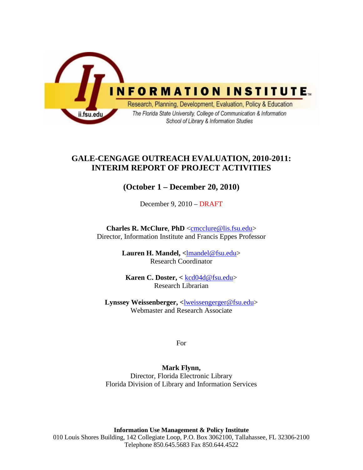

# **GALE-CENGAGE OUTREACH EVALUATION, 2010-2011: INTERIM REPORT OF PROJECT ACTIVITIES**

# **(October 1 – December 20, 2010)**

December 9, 2010 – DRAFT

**Charles R. McClure**, **PhD** [<cmcclure@lis.fsu.edu>](mailto:cmcclure@lis.fsu.edu) Director, Information Institute and Francis Eppes Professor

> Lauren H. Mandel, <<u>lmandel@fsu.edu</u>> Research Coordinator

**Karen C. Doster, <** [kcd04d@fsu.edu>](mailto:kcd04d@fsu.edu) Research Librarian

**Lynssey Weissenberger, <**[lweissengerger@fsu.edu>](mailto:lweissengerger@fsu.edu) Webmaster and Research Associate

For

**Mark Flynn,**  Director, Florida Electronic Library Florida Division of Library and Information Services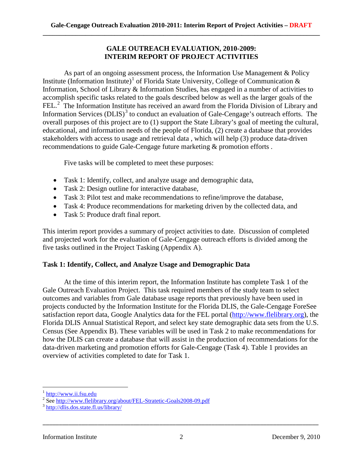## **GALE OUTREACH EVALUATION, 2010-2009: INTERIM REPORT OF PROJECT ACTIVITIES**

As part of an ongoing assessment process, the Information Use Management & Policy Institute (Information Institute)<sup>[1](#page-1-0)</sup> of Florida State University, College of Communication  $\&$ Information, School of Library & Information Studies, has engaged in a number of activities to accomplish specific tasks related to the goals described below as well as the larger goals of the FEL.<sup>[2](#page-1-1)</sup> The Information Institute has received an award from the Florida Division of Library and Information Services  $(DLIS)^3$  $(DLIS)^3$  to conduct an evaluation of Gale-Cengage's outreach efforts. The overall purposes of this project are to (1) support the State Library's goal of meeting the cultural, educational, and information needs of the people of Florida, (2) create a database that provides stakeholders with access to usage and retrieval data , which will help (3) produce data-driven recommendations to guide Gale-Cengage future marketing & promotion efforts .

Five tasks will be completed to meet these purposes:

- Task 1: Identify, collect, and analyze usage and demographic data,
- Task 2: Design outline for interactive database,
- Task 3: Pilot test and make recommendations to refine/improve the database,
- Task 4: Produce recommendations for marketing driven by the collected data, and
- Task 5: Produce draft final report.

This interim report provides a summary of project activities to date. Discussion of completed and projected work for the evaluation of Gale-Cengage outreach efforts is divided among the five tasks outlined in the Project Tasking (Appendix A).

## **Task 1: Identify, Collect, and Analyze Usage and Demographic Data**

At the time of this interim report, the Information Institute has complete Task 1 of the Gale Outreach Evaluation Project. This task required members of the study team to select outcomes and variables from Gale database usage reports that previously have been used in projects conducted by the Information Institute for the Florida DLIS, the Gale-Cengage ForeSee satisfaction report data, Google Analytics data for the FEL portal [\(http://www.flelibrary.org\)](http://www.flelibrary.org/), the Florida DLIS Annual Statistical Report, and select key state demographic data sets from the U.S. Census (See Appendix B). These variables will be used in Task 2 to make recommendations for how the DLIS can create a database that will assist in the production of recommendations for the data-driven marketing and promotion efforts for Gale-Cengage (Task 4). Table 1 provides an overview of activities completed to date for Task 1.

ı

[http://www.ii.fsu.edu](http://www.ii.fsu.edu/)

<span id="page-1-2"></span><span id="page-1-1"></span><span id="page-1-0"></span><sup>2&</sup>lt;br>
2 Se[e http://www.flelibrary.org/about/FEL-Stratetic-Goals2008-09.pdf](http://www.flelibrary.org/about/FEL-Stratetic-Goals2008-09.pdf)<br>
<sup>3</sup> <http://dlis.dos.state.fl.us/library/>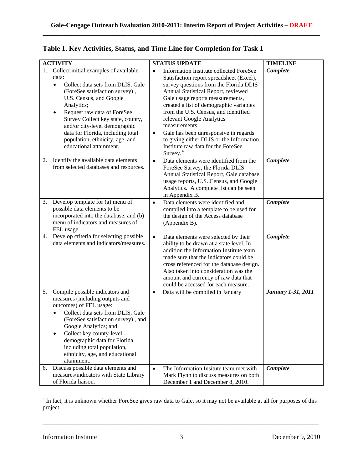|    | <b>ACTIVITY</b>                                                                                                                                                                                                                                                                                                                                                                | <b>STATUS UPDATE</b>                                                                                                                                                                                                                                                                                                                                                                                                                                                                                          | <b>TIMELINE</b>           |
|----|--------------------------------------------------------------------------------------------------------------------------------------------------------------------------------------------------------------------------------------------------------------------------------------------------------------------------------------------------------------------------------|---------------------------------------------------------------------------------------------------------------------------------------------------------------------------------------------------------------------------------------------------------------------------------------------------------------------------------------------------------------------------------------------------------------------------------------------------------------------------------------------------------------|---------------------------|
|    | 1. Collect initial examples of available<br>data:<br>Collect data sets from DLIS, Gale<br>(ForeSee satisfaction survey),<br>U.S. Census, and Google<br>Analytics;<br>Request raw data of ForeSee<br>٠<br>Survey Collect key state, county,<br>and/or city-level demographic<br>data for Florida, including total<br>population, ethnicity, age, and<br>educational attainment. | Information Institute collected ForeSee<br>$\bullet$<br>Satisfaction report spreadsheet (Excel),<br>survey questions from the Florida DLIS<br>Annual Statistical Report, reviewed<br>Gale usage reports measurements,<br>created a list of demographic variables<br>from the U.S. Census, and identified<br>relevant Google Analytics<br>measurements.<br>Gale has been unresponsive in regards<br>$\bullet$<br>to giving either DLIS or the Information<br>Institute raw data for the ForeSee<br>Survey. $4$ | Complete                  |
| 2. | Identify the available data elements<br>from selected databases and resources.                                                                                                                                                                                                                                                                                                 | Data elements were identified from the<br>$\bullet$<br>ForeSee Survey, the Florida DLIS<br>Annual Statistical Report, Gale database<br>usage reports, U.S. Census, and Google<br>Analytics. A complete list can be seen<br>in Appendix B.                                                                                                                                                                                                                                                                     | Complete                  |
| 3. | Develop template for (a) menu of<br>possible data elements to be<br>incorporated into the database, and (b)<br>menu of indicators and measures of<br>FEL usage.                                                                                                                                                                                                                | Data elements were identified and<br>$\bullet$<br>compiled into a template to be used for<br>the design of the Access database<br>(Appendix B).                                                                                                                                                                                                                                                                                                                                                               | Complete                  |
| 4. | Develop criteria for selecting possible<br>data elements and indicators/measures.                                                                                                                                                                                                                                                                                              | $\bullet$<br>Data elements were selected by their<br>ability to be drawn at a state level. In<br>addition the Information Institute team<br>made sure that the indicators could be<br>cross referenced for the database design.<br>Also taken into consideration was the<br>amount and currency of raw data that<br>could be accessed for each measure.                                                                                                                                                       | Complete                  |
| 5. | Compile possible indicators and<br>measures (including outputs and<br>outcomes) of FEL usage:<br>Collect data sets from DLIS, Gale<br>(ForeSee satisfaction survey), and<br>Google Analytics; and<br>Collect key county-level<br>demographic data for Florida,<br>including total population,<br>ethnicity, age, and educational<br>attainment.                                | Data will be compiled in January<br>$\bullet$                                                                                                                                                                                                                                                                                                                                                                                                                                                                 | <b>January 1-31, 2011</b> |
|    | 6. Discuss possible data elements and<br>measures/indicators with State Library<br>of Florida liaison.                                                                                                                                                                                                                                                                         | The Information Insitute team met with<br>$\bullet$<br>Mark Flynn to discuss measures on both<br>December 1 and December 8, 2010.                                                                                                                                                                                                                                                                                                                                                                             | Complete                  |

|  | Table 1. Key Activities, Status, and Time Line for Completion for Task 1 |  |  |  |
|--|--------------------------------------------------------------------------|--|--|--|
|  |                                                                          |  |  |  |

l

<span id="page-2-0"></span><sup>&</sup>lt;sup>4</sup> In fact, it is unknown whether ForeSee gives raw data to Gale, so it may not be available at all for purposes of this project.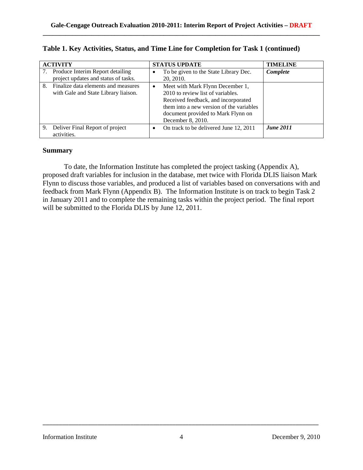|    | <b>ACTIVITY</b>                                                             | <b>STATUS UPDATE</b> |                                                                                                                                                                                                                     | <b>TIMELINE</b>  |
|----|-----------------------------------------------------------------------------|----------------------|---------------------------------------------------------------------------------------------------------------------------------------------------------------------------------------------------------------------|------------------|
|    | Produce Interim Report detailing<br>project updates and status of tasks.    |                      | To be given to the State Library Dec.<br>20, 2010.                                                                                                                                                                  | Complete         |
| 8. | Finalize data elements and measures<br>with Gale and State Library liaison. | $\bullet$            | Meet with Mark Flynn December 1,<br>2010 to review list of variables.<br>Received feedback, and incorporated<br>them into a new version of the variables<br>document provided to Mark Flynn on<br>December 8, 2010. |                  |
| 9. | Deliver Final Report of project<br>activities.                              |                      | On track to be delivered June 12, 2011                                                                                                                                                                              | <b>June 2011</b> |

|  |  |  | Table 1. Key Activities, Status, and Time Line for Completion for Task 1 (continued) |
|--|--|--|--------------------------------------------------------------------------------------|
|--|--|--|--------------------------------------------------------------------------------------|

## **Summary**

To date, the Information Institute has completed the project tasking (Appendix A), proposed draft variables for inclusion in the database, met twice with Florida DLIS liaison Mark Flynn to discuss those variables, and produced a list of variables based on conversations with and feedback from Mark Flynn (Appendix B). The Information Institute is on track to begin Task 2 in January 2011 and to complete the remaining tasks within the project period. The final report will be submitted to the Florida DLIS by June 12, 2011.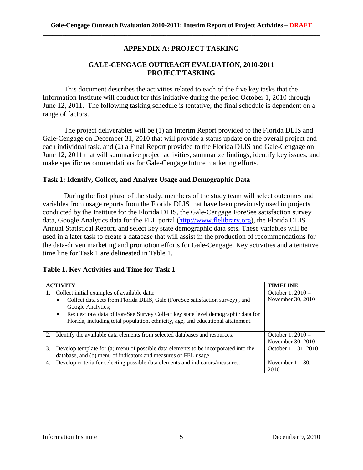## **APPENDIX A: PROJECT TASKING**

## **GALE-CENGAGE OUTREACH EVALUATION, 2010-2011 PROJECT TASKING**

This document describes the activities related to each of the five key tasks that the Information Institute will conduct for this initiative during the period October 1, 2010 through June 12, 2011. The following tasking schedule is tentative; the final schedule is dependent on a range of factors.

The project deliverables will be (1) an Interim Report provided to the Florida DLIS and Gale-Cengage on December 31, 2010 that will provide a status update on the overall project and each individual task, and (2) a Final Report provided to the Florida DLIS and Gale-Cengage on June 12, 2011 that will summarize project activities, summarize findings, identify key issues, and make specific recommendations for Gale-Cengage future marketing efforts.

#### **Task 1: Identify, Collect, and Analyze Usage and Demographic Data**

During the first phase of the study, members of the study team will select outcomes and variables from usage reports from the Florida DLIS that have been previously used in projects conducted by the Institute for the Florida DLIS, the Gale-Cengage ForeSee satisfaction survey data, Google Analytics data for the FEL portal [\(http://www.flelibrary.org\)](http://www.flelibrary.org/), the Florida DLIS Annual Statistical Report, and select key state demographic data sets. These variables will be used in a later task to create a database that will assist in the production of recommendations for the data-driven marketing and promotion efforts for Gale-Cengage. Key activities and a tentative time line for Task 1 are delineated in Table 1.

#### **Table 1. Key Activities and Time for Task 1**

| <b>ACTIVITY</b>                                                                                                                                                                  | <b>TIMELINE</b>                        |
|----------------------------------------------------------------------------------------------------------------------------------------------------------------------------------|----------------------------------------|
| Collect initial examples of available data:<br>1.                                                                                                                                | October $1,2010-$                      |
| Collect data sets from Florida DLIS, Gale (ForeSee satisfaction survey), and                                                                                                     | November 30, 2010                      |
| Google Analytics;                                                                                                                                                                |                                        |
| Request raw data of ForeSee Survey Collect key state level demographic data for<br>$\bullet$<br>Florida, including total population, ethnicity, age, and educational attainment. |                                        |
| Identify the available data elements from selected databases and resources.                                                                                                      | October $1,2010-$<br>November 30, 2010 |
| Develop template for (a) menu of possible data elements to be incorporated into the<br>3.                                                                                        | October $1 - 31$ , 2010                |
| database, and (b) menu of indicators and measures of FEL usage.                                                                                                                  |                                        |
| Develop criteria for selecting possible data elements and indicators/measures.<br>4.                                                                                             | November $1 - 30$ ,                    |
|                                                                                                                                                                                  | 2010                                   |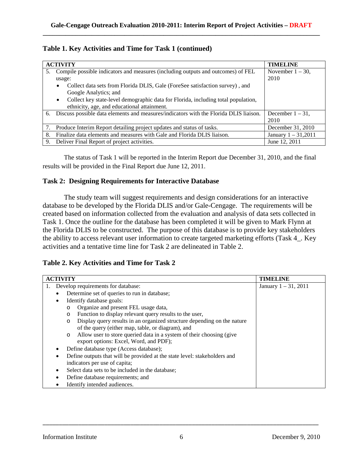|  |  |  |  | Table 1. Key Activities and Time for Task 1 (continued) |
|--|--|--|--|---------------------------------------------------------|
|--|--|--|--|---------------------------------------------------------|

|    | <b>ACTIVITY</b>                                                                                | <b>TIMELINE</b>       |
|----|------------------------------------------------------------------------------------------------|-----------------------|
| 5. | Compile possible indicators and measures (including outputs and outcomes) of FEL               | November $1 - 30$ ,   |
|    | usage:                                                                                         | 2010                  |
|    | Collect data sets from Florida DLIS, Gale (ForeSee satisfaction survey), and<br>٠              |                       |
|    | Google Analytics; and                                                                          |                       |
|    | Collect key state-level demographic data for Florida, including total population,<br>$\bullet$ |                       |
|    | ethnicity, age, and educational attainment.                                                    |                       |
| 6. | Discuss possible data elements and measures/indicators with the Florida DLIS liaison.          | December $1 - 31$ ,   |
|    |                                                                                                | 2010                  |
|    | Produce Interim Report detailing project updates and status of tasks.                          | December 31, 2010     |
| 8. | Finalize data elements and measures with Gale and Florida DLIS liaison.                        | January $1 - 31,2011$ |
| 9. | Deliver Final Report of project activities.                                                    | June 12, 2011         |

The status of Task 1 will be reported in the Interim Report due December 31, 2010, and the final results will be provided in the Final Report due June 12, 2011.

#### **Task 2: Designing Requirements for Interactive Database**

The study team will suggest requirements and design considerations for an interactive database to be developed by the Florida DLIS and/or Gale-Cengage. The requirements will be created based on information collected from the evaluation and analysis of data sets collected in Task 1. Once the outline for the database has been completed it will be given to Mark Flynn at the Florida DLIS to be constructed. The purpose of this database is to provide key stakeholders the ability to access relevant user information to create targeted marketing efforts (Task 4\_. Key activities and a tentative time line for Task 2 are delineated in Table 2.

## **Table 2. Key Activities and Time for Task 2**

| <b>ACTIVITY</b>                                                                    | <b>TIMELINE</b>         |
|------------------------------------------------------------------------------------|-------------------------|
| Develop requirements for database:                                                 | January $1 - 31$ , 2011 |
| Determine set of queries to run in database;                                       |                         |
| Identify database goals:<br>٠                                                      |                         |
| Organize and present FEL usage data,<br>$\circ$                                    |                         |
| Function to display relevant query results to the user,<br>$\circ$                 |                         |
| Display query results in an organized structure depending on the nature<br>$\circ$ |                         |
| of the query (either map, table, or diagram), and                                  |                         |
| Allow user to store queried data in a system of their choosing (give<br>$\circ$    |                         |
| export options: Excel, Word, and PDF);                                             |                         |
| Define database type (Access database);                                            |                         |
| Define outputs that will be provided at the state level: stakeholders and          |                         |
| indicators per use of capita;                                                      |                         |
| Select data sets to be included in the database;                                   |                         |
| Define database requirements; and                                                  |                         |
| Identify intended audiences.                                                       |                         |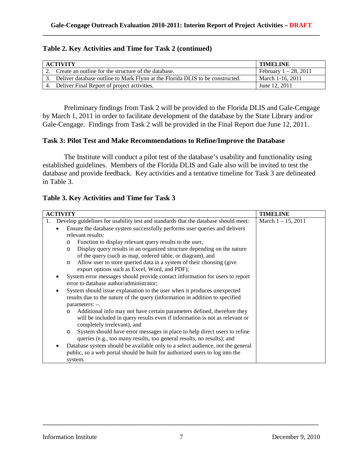#### **Table 2. Key Activities and Time for Task 2 (continued)**

| <b>ACTIVITY</b>                                                                  | <b>TIMELINE</b>          |
|----------------------------------------------------------------------------------|--------------------------|
| 2. Create an outline for the structure of the database.                          | February $1 - 28$ , 2011 |
| 3. Deliver database outline to Mark Flynn at the Florida DLIS to be constructed. | March 1-16, 2011         |
| 4. Deliver Final Report of project activities.                                   | June 12, 2011            |

Preliminary findings from Task 2 will be provided to the Florida DLIS and Gale-Cengage by March 1, 2011 in order to facilitate development of the database by the State Library and/or Gale-Cengage. Findings from Task 2 will be provided in the Final Report due June 12, 2011.

#### **Task 3: Pilot Test and Make Recommendations to Refine/Improve the Database**

The Institute will conduct a pilot test of the database's usability and functionality using established guidelines. Members of the Florida DLIS and Gale also will be invited to test the database and provide feedback. Key activities and a tentative timeline for Task 3 are delineated in Table 3.

|  | Table 3. Key Activities and Time for Task 3 |  |  |
|--|---------------------------------------------|--|--|
|  |                                             |  |  |

| <b>ACTIVITY</b>                                                                          | <b>TIMELINE</b>       |
|------------------------------------------------------------------------------------------|-----------------------|
|                                                                                          |                       |
| Develop guidelines for usability test and standards that the database should meet:<br>1. | March $1 - 15$ , 2011 |
| Ensure the database system successfully performs user queries and delivers               |                       |
| relevant results:                                                                        |                       |
| Function to display relevant query results to the user,<br>$\circ$                       |                       |
| Display query results in an organized structure depending on the nature<br>$\circ$       |                       |
| of the query (such as map, ordered table, or diagram), and                               |                       |
| Allow user to store queried data in a system of their choosing (give<br>$\circ$          |                       |
| export options such as Excel, Word, and PDF);                                            |                       |
| System error messages should provide contact information for users to report             |                       |
| error to database author/administrator;                                                  |                       |
| System should issue explanation to the user when it produces unexpected                  |                       |
| results due to the nature of the query (information in addition to specified             |                       |
| parameters: -.                                                                           |                       |
| Additional info may not have certain parameters defined, therefore they<br>$\circ$       |                       |
| will be included in query results even if information is not as relevant or              |                       |
| completely irrelevant), and                                                              |                       |
| System should have error messages in place to help direct users to refine<br>$\circ$     |                       |
| queries (e.g., too many results, too general results, no results); and                   |                       |
|                                                                                          |                       |
| Database system should be available only to a select audience, not the general           |                       |
| public, so a web portal should be built for authorized users to log into the             |                       |
| system.                                                                                  |                       |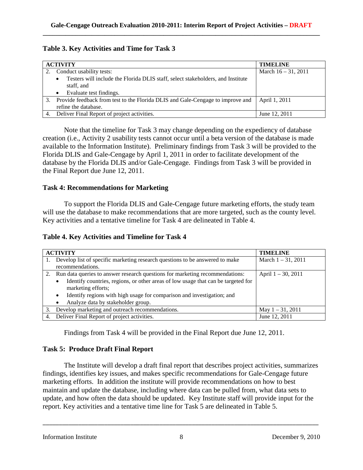## **Table 3. Key Activities and Time for Task 3**

| <b>ACTIVITY</b>                                                                                        | <b>TIMELINE</b>        |
|--------------------------------------------------------------------------------------------------------|------------------------|
| Conduct usability tests:                                                                               | March $16 - 31$ , 2011 |
| Testers will include the Florida DLIS staff, select stakeholders, and Institute<br>staff, and          |                        |
| Evaluate test findings.                                                                                |                        |
| Provide feedback from test to the Florida DLIS and Gale-Cengage to improve and<br>refine the database. | April 1, 2011          |
| Deliver Final Report of project activities.                                                            | June 12, 2011          |

Note that the timeline for Task 3 may change depending on the expediency of database creation (i.e., Activity 2 usability tests cannot occur until a beta version of the database is made available to the Information Institute). Preliminary findings from Task 3 will be provided to the Florida DLIS and Gale-Cengage by April 1, 2011 in order to facilitate development of the database by the Florida DLIS and/or Gale-Cengage. Findings from Task 3 will be provided in the Final Report due June 12, 2011.

#### **Task 4: Recommendations for Marketing**

To support the Florida DLIS and Gale-Cengage future marketing efforts, the study team will use the database to make recommendations that are more targeted, such as the county level. Key activities and a tentative timeline for Task 4 are delineated in Table 4.

**Table 4. Key Activities and Timeline for Task 4**

| <b>ACTIVITY</b> |                                                                                                              | <b>TIMELINE</b>       |
|-----------------|--------------------------------------------------------------------------------------------------------------|-----------------------|
|                 | Develop list of specific marketing research questions to be answered to make<br>recommendations.             | March $1 - 31$ , 2011 |
|                 |                                                                                                              |                       |
| 2.              | Run data queries to answer research questions for marketing recommendations:                                 | April 1 - 30, 2011    |
|                 | Identify countries, regions, or other areas of low usage that can be targeted for<br>٠<br>marketing efforts; |                       |
|                 | Identify regions with high usage for comparison and investigation; and<br>٠                                  |                       |
|                 | Analyze data by stakeholder group.                                                                           |                       |
| 3.              | Develop marketing and outreach recommendations.                                                              | May $1 - 31$ , 2011   |
|                 | 4. Deliver Final Report of project activities.                                                               | June 12, 2011         |

Findings from Task 4 will be provided in the Final Report due June 12, 2011.

## **Task 5: Produce Draft Final Report**

The Institute will develop a draft final report that describes project activities, summarizes findings, identifies key issues, and makes specific recommendations for Gale-Cengage future marketing efforts. In addition the institute will provide recommendations on how to best maintain and update the database, including where data can be pulled from, what data sets to update, and how often the data should be updated. Key Institute staff will provide input for the report. Key activities and a tentative time line for Task 5 are delineated in Table 5.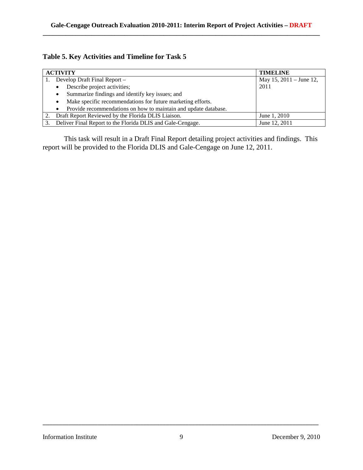# **Table 5. Key Activities and Timeline for Task 5**

| <b>ACTIVITY</b> |                                                                              | <b>TIMELINE</b>           |
|-----------------|------------------------------------------------------------------------------|---------------------------|
|                 | Develop Draft Final Report -                                                 | May 15, $2011 -$ June 12, |
|                 | Describe project activities;<br>$\bullet$                                    | 2011                      |
|                 | Summarize findings and identify key issues; and<br>$\bullet$                 |                           |
|                 | Make specific recommendations for future marketing efforts.<br>$\bullet$     |                           |
|                 | Provide recommendations on how to maintain and update database.<br>$\bullet$ |                           |
|                 | Draft Report Reviewed by the Florida DLIS Liaison.                           | June 1, 2010              |
|                 | Deliver Final Report to the Florida DLIS and Gale-Cengage.                   | June 12, 2011             |

This task will result in a Draft Final Report detailing project activities and findings. This report will be provided to the Florida DLIS and Gale-Cengage on June 12, 2011.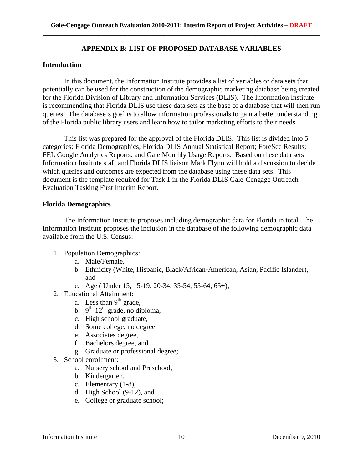## **APPENDIX B: LIST OF PROPOSED DATABASE VARIABLES**

#### **Introduction**

In this document, the Information Institute provides a list of variables or data sets that potentially can be used for the construction of the demographic marketing database being created for the Florida Division of Library and Information Services (DLIS). The Information Institute is recommending that Florida DLIS use these data sets as the base of a database that will then run queries. The database's goal is to allow information professionals to gain a better understanding of the Florida public library users and learn how to tailor marketing efforts to their needs.

This list was prepared for the approval of the Florida DLIS. This list is divided into 5 categories: Florida Demographics; Florida DLIS Annual Statistical Report; ForeSee Results; FEL Google Analytics Reports; and Gale Monthly Usage Reports. Based on these data sets Information Institute staff and Florida DLIS liaison Mark Flynn will hold a discussion to decide which queries and outcomes are expected from the database using these data sets. This document is the template required for Task 1 in the Florida DLIS Gale-Cengage Outreach Evaluation Tasking First Interim Report.

#### **Florida Demographics**

The Information Institute proposes including demographic data for Florida in total. The Information Institute proposes the inclusion in the database of the following demographic data available from the U.S. Census:

- 1. Population Demographics:
	- a. Male/Female,
	- b. Ethnicity (White, Hispanic, Black/African-American, Asian, Pacific Islander), and
	- c. Age ( Under 15, 15-19, 20-34, 35-54, 55-64, 65+);
- 2. Educational Attainment:
	- a. Less than  $9<sup>th</sup>$  grade,
	- b.  $9^{th}$ -12<sup>th</sup> grade, no diploma,
	- c. High school graduate,
	- d. Some college, no degree,
	- e. Associates degree,
	- f. Bachelors degree, and
	- g. Graduate or professional degree;
- 3. School enrollment:
	- a. Nursery school and Preschool,
	- b. Kindergarten,
	- c. Elementary (1-8),
	- d. High School (9-12), and
	- e. College or graduate school;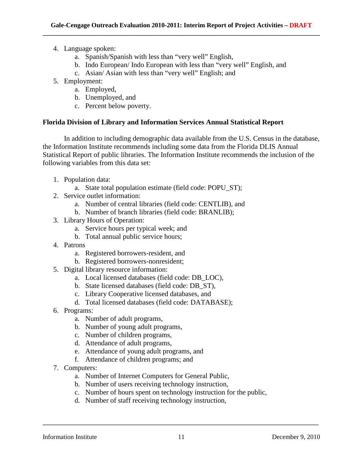- 4. Language spoken:
	- a. Spanish/Spanish with less than "very well" English,
	- b. Indo European/ Indo European with less than "very well" English, and
	- c. Asian/ Asian with less than "very well" English; and
- 5. Employment:
	- a. Employed,
	- b. Unemployed, and
	- c. Percent below poverty.

## **Florida Division of Library and Information Services Annual Statistical Report**

In addition to including demographic data available from the U.S. Census in the database, the Information Institute recommends including some data from the Florida DLIS Annual Statistical Report of public libraries. The Information Institute recommends the inclusion of the following variables from this data set:

- 1. Population data:
	- a. State total population estimate (field code: POPU\_ST);
- 2. Service outlet information:
	- a. Number of central libraries (field code: CENTLIB), and
	- b. Number of branch libraries (field code: BRANLIB);
- 3. Library Hours of Operation:
	- a. Service hours per typical week; and
	- b. Total annual public service hours;
- 4. Patrons
	- a. Registered borrowers-resident, and
	- b. Registered borrowers-nonresident;
- 5. Digital library resource information:
	- a. Local licensed databases (field code: DB\_LOC),
	- b. State licensed databases (field code: DB\_ST),
	- c. Library Cooperative licensed databases, and
	- d. Total licensed databases (field code: DATABASE);
- 6. Programs:
	- a. Number of adult programs,
	- b. Number of young adult programs,
	- c. Number of children programs,
	- d. Attendance of adult programs,
	- e. Attendance of young adult programs, and
	- f. Attendance of children programs; and
- 7. Computers:
	- a. Number of Internet Computers for General Public,
	- b. Number of users receiving technology instruction,
	- c. Number of hours spent on technology instruction for the public,
	- d. Number of staff receiving technology instruction,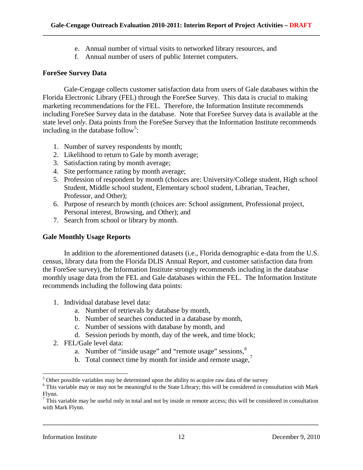- e. Annual number of virtual visits to networked library resources, and
- f. Annual number of users of public Internet computers.

#### **ForeSee Survey Data**

Gale-Cengage collects customer satisfaction data from users of Gale databases within the Florida Electronic Library (FEL) through the ForeSee Survey. This data is crucial to making marketing recommendations for the FEL. Therefore, the Information Institute recommends including ForeSee Survey data in the database. Note that ForeSee Survey data is available at the state level *only*. Data points from the ForeSee Survey that the Information Institute recommends including in the database follow<sup>[5](#page-11-0)</sup>:

- 1. Number of survey respondents by month;
- 2. Likelihood to return to Gale by month average;
- 3. Satisfaction rating by month average;
- 4. Site performance rating by month average;
- 5. Profession of respondent by month (choices are: University/College student, High school Student, Middle school student, Elementary school student, Librarian, Teacher, Professor, and Other);
- 6. Purpose of research by month (choices are: School assignment, Professional project, Personal interest, Browsing, and Other); and
- 7. Search from school or library by month.

## **Gale Monthly Usage Reports**

In addition to the aforementioned datasets (i.e., Florida demographic e-data from the U.S. census, library data from the Florida DLIS Annual Report, and customer satisfaction data from the ForeSee survey), the Information Institute strongly recommends including in the database monthly usage data from the FEL and Gale databases within the FEL. The Information Institute recommends including the following data points:

- 1. Individual database level data:
	- a. Number of retrievals by database by month,
	- b. Number of searches conducted in a database by month,
	- c. Number of sessions with database by month, and
	- d. Session periods by month, day of the week, and time block;
- 2. FEL/Gale level data:
	- a. Number of "inside usage" and "remote usage" sessions,<sup>[6](#page-11-1)</sup>
	- b. Total connect time by month for inside and remote usage, $<sup>7</sup>$  $<sup>7</sup>$  $<sup>7</sup>$ </sup>

\_\_\_\_\_\_\_\_\_\_\_\_\_\_\_\_\_\_\_\_\_\_\_\_\_\_\_\_\_\_\_\_\_\_\_\_\_\_\_\_\_\_\_\_\_\_\_\_\_\_\_\_\_\_\_\_\_\_\_\_\_\_\_\_\_\_\_\_\_\_\_\_\_\_\_\_\_\_\_\_\_\_\_\_\_

ı

<span id="page-11-0"></span> $5$  Other possible variables may be determined upon the ability to acquire raw data of the survey

<span id="page-11-1"></span><sup>&</sup>lt;sup>6</sup> This variable may or may not be meaningful to the State Library; this will be considered in consultation with Mark Flynn.

<span id="page-11-2"></span> $<sup>7</sup>$  This variable may be useful only in total and not by inside or remote access; this will be considered in consultation</sup> with Mark Flynn.